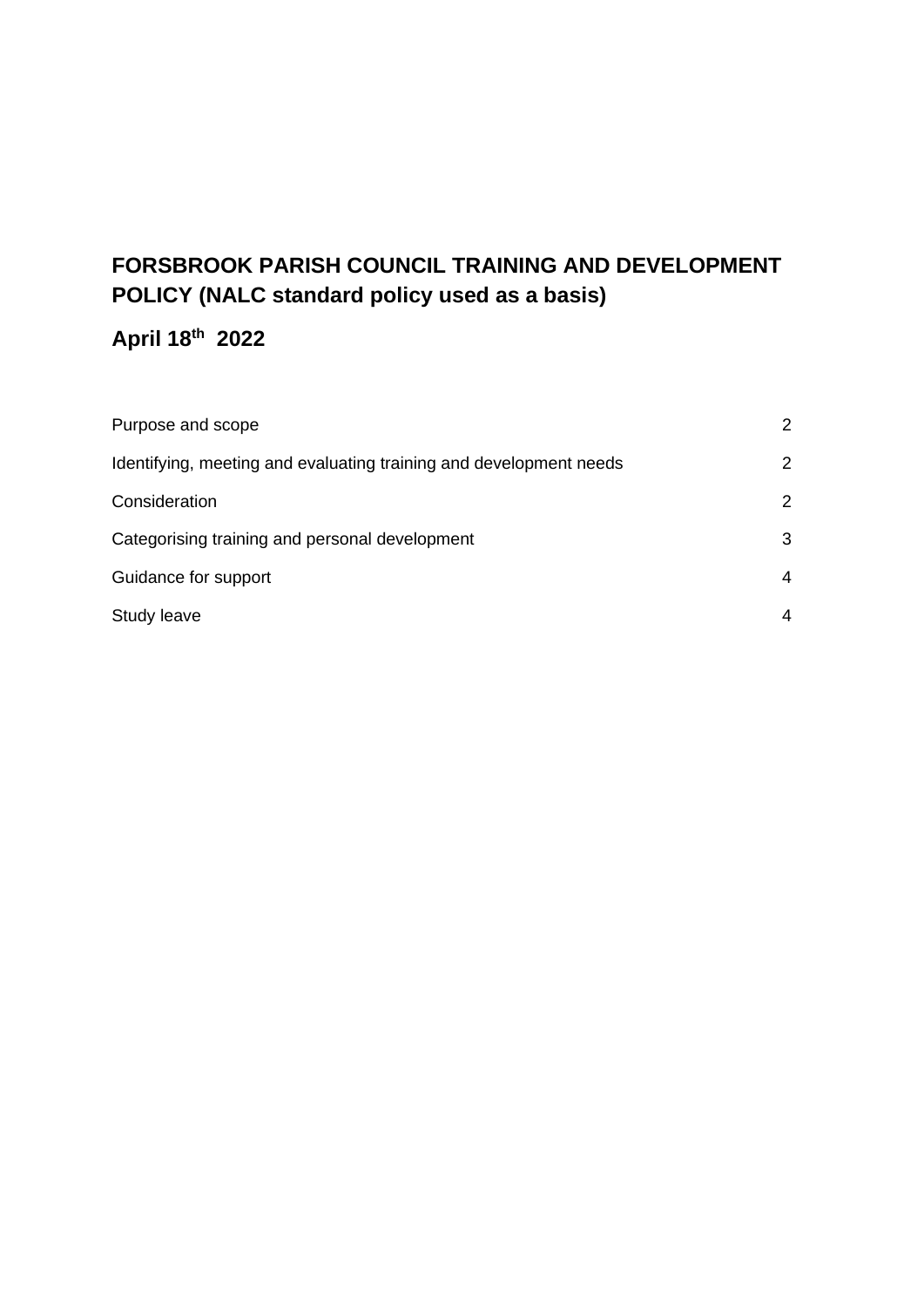# **FORSBROOK PARISH COUNCIL TRAINING AND DEVELOPMENT POLICY (NALC standard policy used as a basis)**

# **April 18th 2022**

| Purpose and scope                                                  | 2 |
|--------------------------------------------------------------------|---|
| Identifying, meeting and evaluating training and development needs | 2 |
| Consideration                                                      | 2 |
| Categorising training and personal development                     | 3 |
| Guidance for support                                               | 4 |
| Study leave                                                        |   |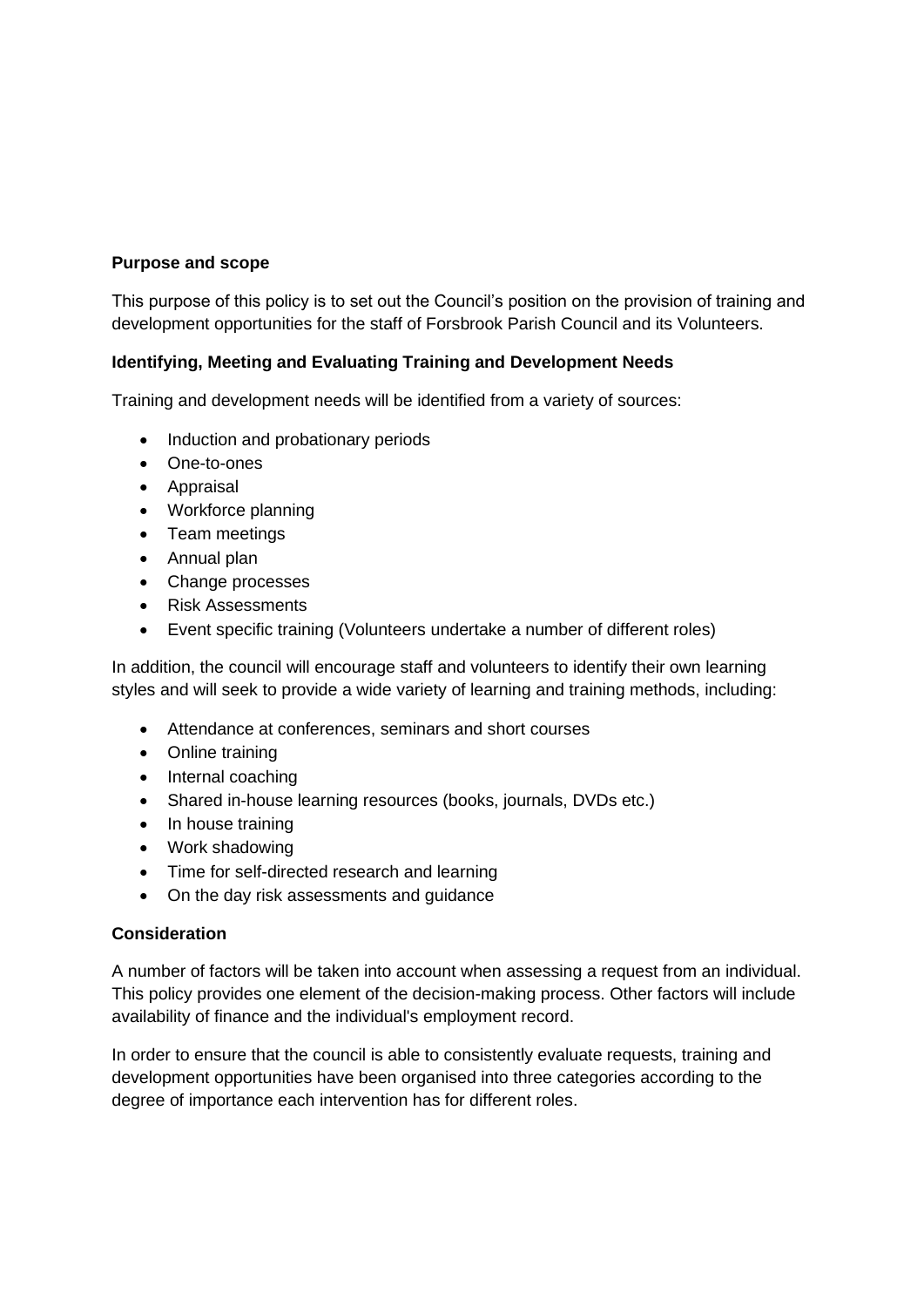# **Purpose and scope**

This purpose of this policy is to set out the Council's position on the provision of training and development opportunities for the staff of Forsbrook Parish Council and its Volunteers.

#### **Identifying, Meeting and Evaluating Training and Development Needs**

Training and development needs will be identified from a variety of sources:

- Induction and probationary periods
- One-to-ones
- Appraisal
- Workforce planning
- Team meetings
- Annual plan
- Change processes
- Risk Assessments
- Event specific training (Volunteers undertake a number of different roles)

In addition, the council will encourage staff and volunteers to identify their own learning styles and will seek to provide a wide variety of learning and training methods, including:

- Attendance at conferences, seminars and short courses
- Online training
- Internal coaching
- Shared in-house learning resources (books, journals, DVDs etc.)
- In house training
- Work shadowing
- Time for self-directed research and learning
- On the day risk assessments and guidance

#### **Consideration**

A number of factors will be taken into account when assessing a request from an individual. This policy provides one element of the decision-making process. Other factors will include availability of finance and the individual's employment record.

In order to ensure that the council is able to consistently evaluate requests, training and development opportunities have been organised into three categories according to the degree of importance each intervention has for different roles.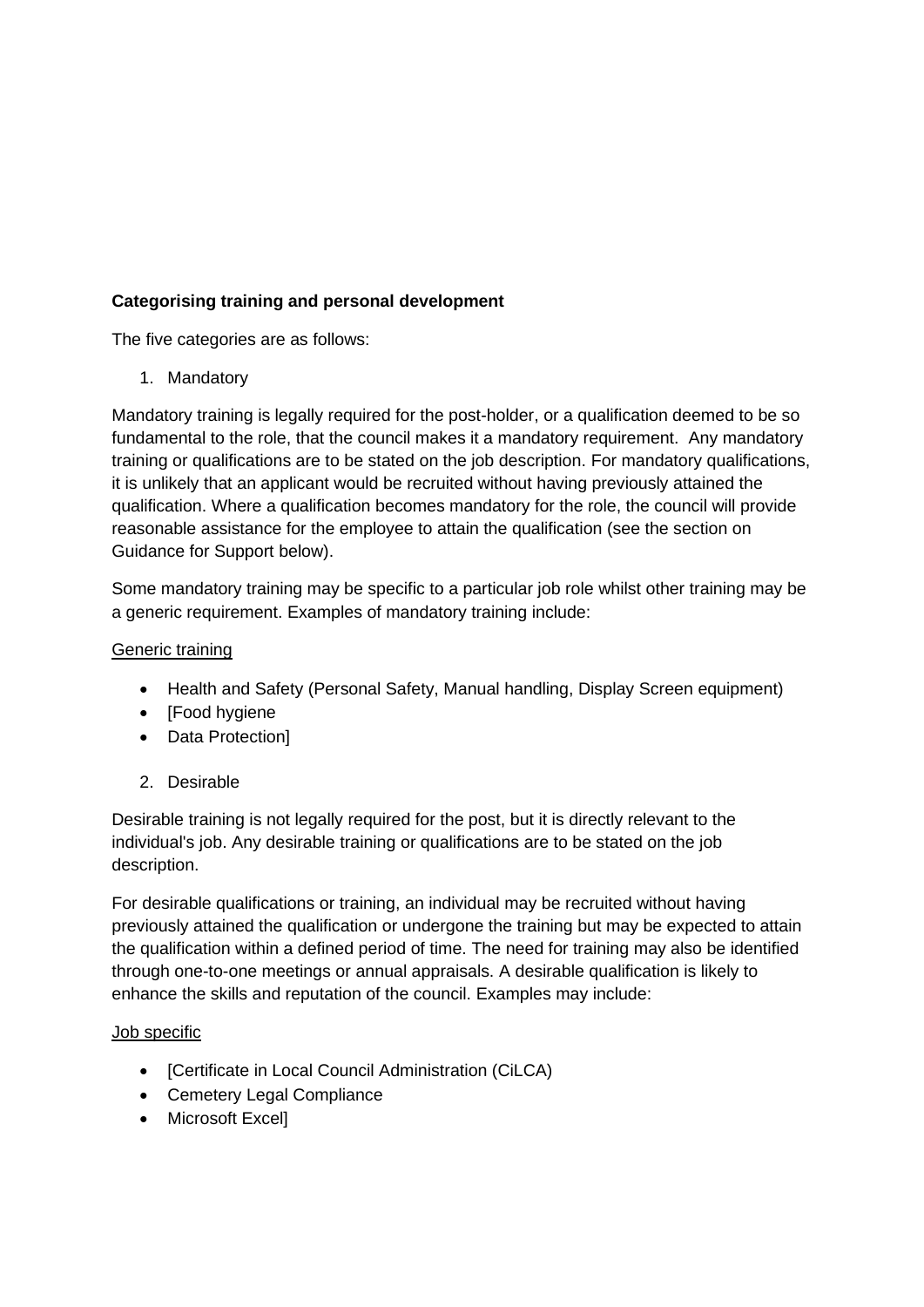# **Categorising training and personal development**

The five categories are as follows:

1. Mandatory

Mandatory training is legally required for the post-holder, or a qualification deemed to be so fundamental to the role, that the council makes it a mandatory requirement. Any mandatory training or qualifications are to be stated on the job description. For mandatory qualifications, it is unlikely that an applicant would be recruited without having previously attained the qualification. Where a qualification becomes mandatory for the role, the council will provide reasonable assistance for the employee to attain the qualification (see the section on Guidance for Support below).

Some mandatory training may be specific to a particular job role whilst other training may be a generic requirement. Examples of mandatory training include:

#### Generic training

- Health and Safety (Personal Safety, Manual handling, Display Screen equipment)
- [Food hygiene
- Data Protection]
- 2. Desirable

Desirable training is not legally required for the post, but it is directly relevant to the individual's job. Any desirable training or qualifications are to be stated on the job description.

For desirable qualifications or training, an individual may be recruited without having previously attained the qualification or undergone the training but may be expected to attain the qualification within a defined period of time. The need for training may also be identified through one-to-one meetings or annual appraisals. A desirable qualification is likely to enhance the skills and reputation of the council. Examples may include:

#### Job specific

- [Certificate in Local Council Administration (CiLCA)
- Cemetery Legal Compliance
- Microsoft Excel]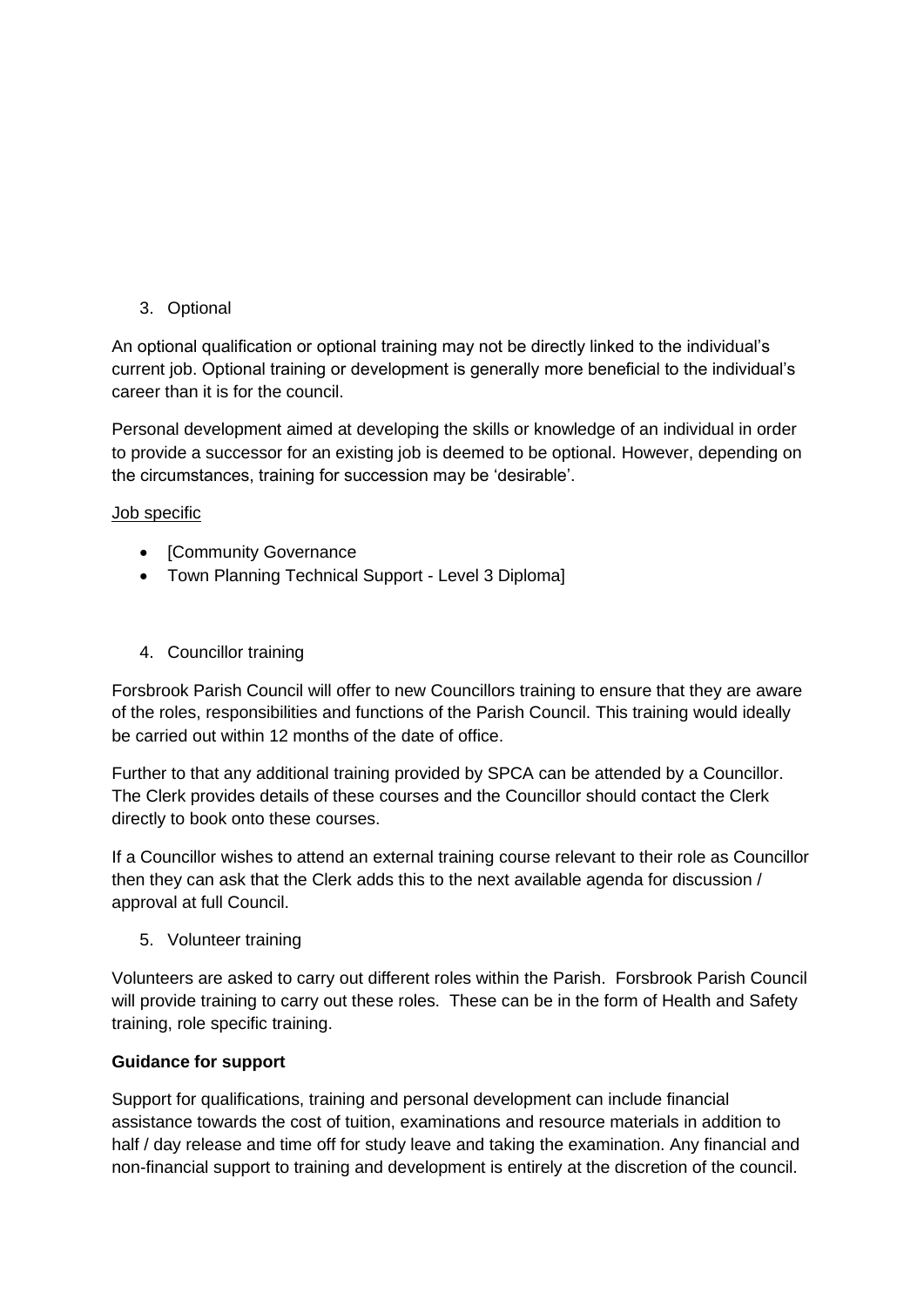3. Optional

An optional qualification or optional training may not be directly linked to the individual's current job. Optional training or development is generally more beneficial to the individual's career than it is for the council.

Personal development aimed at developing the skills or knowledge of an individual in order to provide a successor for an existing job is deemed to be optional. However, depending on the circumstances, training for succession may be 'desirable'.

#### Job specific

- [Community Governance
- Town Planning Technical Support Level 3 Diploma]
- 4. Councillor training

Forsbrook Parish Council will offer to new Councillors training to ensure that they are aware of the roles, responsibilities and functions of the Parish Council. This training would ideally be carried out within 12 months of the date of office.

Further to that any additional training provided by SPCA can be attended by a Councillor. The Clerk provides details of these courses and the Councillor should contact the Clerk directly to book onto these courses.

If a Councillor wishes to attend an external training course relevant to their role as Councillor then they can ask that the Clerk adds this to the next available agenda for discussion / approval at full Council.

5. Volunteer training

Volunteers are asked to carry out different roles within the Parish. Forsbrook Parish Council will provide training to carry out these roles. These can be in the form of Health and Safety training, role specific training.

# **Guidance for support**

Support for qualifications, training and personal development can include financial assistance towards the cost of tuition, examinations and resource materials in addition to half / day release and time off for study leave and taking the examination. Any financial and non-financial support to training and development is entirely at the discretion of the council.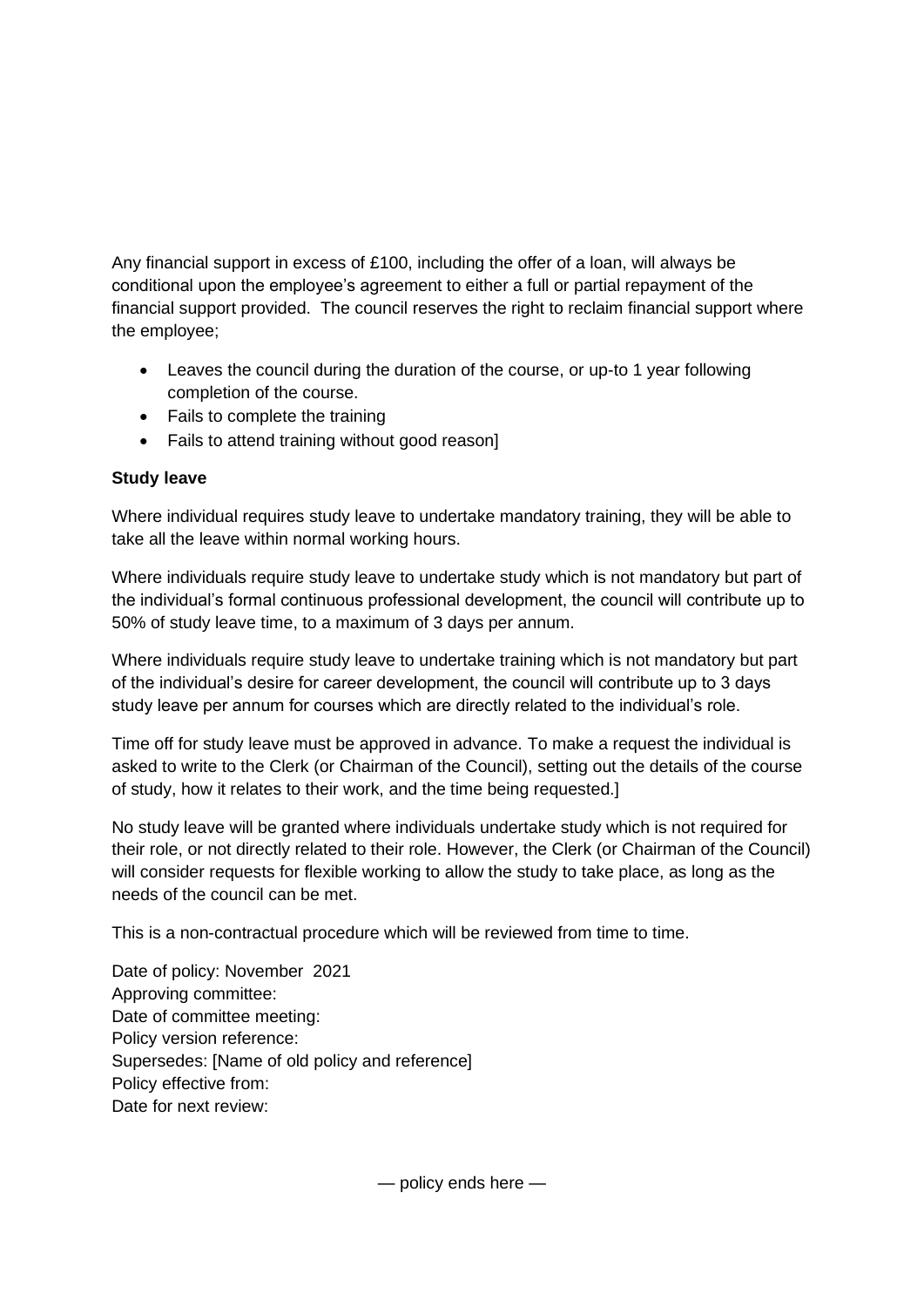Any financial support in excess of £100, including the offer of a loan, will always be conditional upon the employee's agreement to either a full or partial repayment of the financial support provided. The council reserves the right to reclaim financial support where the employee;

- Leaves the council during the duration of the course, or up-to 1 year following completion of the course.
- Fails to complete the training
- Fails to attend training without good reason]

# **Study leave**

Where individual requires study leave to undertake mandatory training, they will be able to take all the leave within normal working hours.

Where individuals require study leave to undertake study which is not mandatory but part of the individual's formal continuous professional development, the council will contribute up to 50% of study leave time, to a maximum of 3 days per annum.

Where individuals require study leave to undertake training which is not mandatory but part of the individual's desire for career development, the council will contribute up to 3 days study leave per annum for courses which are directly related to the individual's role.

Time off for study leave must be approved in advance. To make a request the individual is asked to write to the Clerk (or Chairman of the Council), setting out the details of the course of study, how it relates to their work, and the time being requested.]

No study leave will be granted where individuals undertake study which is not required for their role, or not directly related to their role. However, the Clerk (or Chairman of the Council) will consider requests for flexible working to allow the study to take place, as long as the needs of the council can be met.

This is a non-contractual procedure which will be reviewed from time to time.

Date of policy: November 2021 Approving committee: Date of committee meeting: Policy version reference: Supersedes: [Name of old policy and reference] Policy effective from: Date for next review:

— policy ends here —